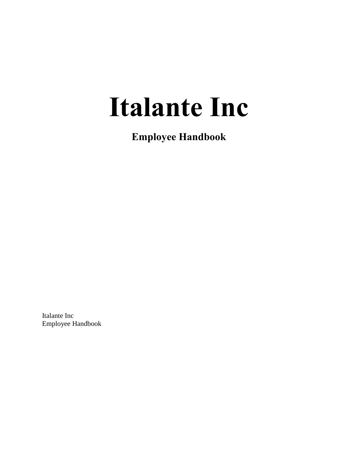# **Italante Inc**

**Employee Handbook**

Italante Inc Employee Handbook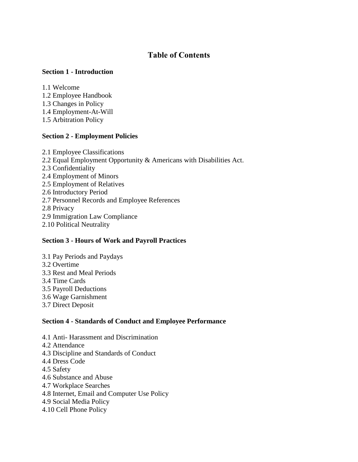# **Table of Contents**

#### **Section 1 - Introduction**

1.1 Welcome

- 1.2 Employee Handbook
- 1.3 Changes in Policy
- 1.4 Employment-At-Will
- 1.5 Arbitration Policy

# **Section 2 - Employment Policies**

2.1 Employee Classifications 2.2 Equal Employment Opportunity & Americans with Disabilities Act. 2.3 Confidentiality 2.4 Employment of Minors 2.5 Employment of Relatives 2.6 Introductory Period 2.7 Personnel Records and Employee References 2.8 Privacy 2.9 Immigration Law Compliance 2.10 Political Neutrality

#### **Section 3 - Hours of Work and Payroll Practices**

3.1 Pay Periods and Paydays 3.2 Overtime 3.3 Rest and Meal Periods 3.4 Time Cards 3.5 Payroll Deductions 3.6 Wage Garnishment 3.7 Direct Deposit

# **Section 4 - Standards of Conduct and Employee Performance**

- 4.1 Anti- Harassment and Discrimination
- 4.2 Attendance
- 4.3 Discipline and Standards of Conduct
- 4.4 Dress Code
- 4.5 Safety
- 4.6 Substance and Abuse
- 4.7 Workplace Searches
- 4.8 Internet, Email and Computer Use Policy
- 4.9 Social Media Policy
- 4.10 Cell Phone Policy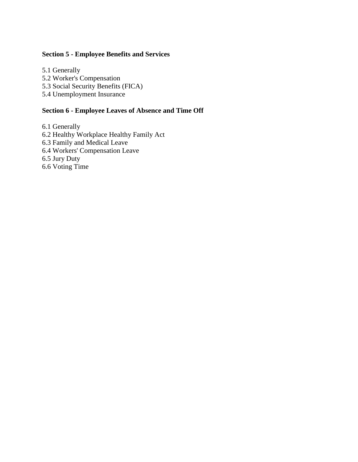#### **Section 5 - Employee Benefits and Services**

5.1 Generally

5.2 Worker's Compensation

5.3 Social Security Benefits (FICA)

5.4 Unemployment Insurance

# **Section 6 - Employee Leaves of Absence and Time Off**

6.1 Generally

6.2 Healthy Workplace Healthy Family Act

6.3 Family and Medical Leave

6.4 Workers' Compensation Leave

6.5 Jury Duty

6.6 Voting Time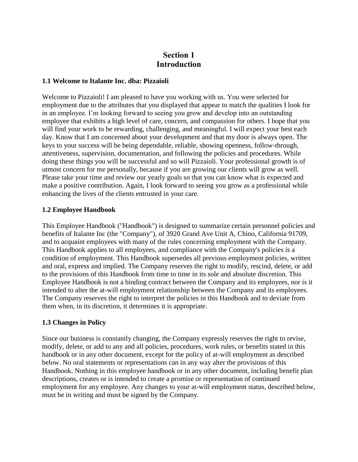# **Section 1 Introduction**

#### **1.1 Welcome to Italante Inc. dba: Pizzaioli**

Welcome to Pizzaioli! I am pleased to have you working with us. You were selected for employment due to the attributes that you displayed that appear to match the qualities I look for in an employee. I'm looking forward to seeing you grow and develop into an outstanding employee that exhibits a high level of care, concern, and compassion for others. I hope that you will find your work to be rewarding, challenging, and meaningful. I will expect your best each day. Know that I am concerned about your development and that my door is always open. The keys to your success will be being dependable, reliable, showing openness, follow-through, attentiveness, supervision, documentation, and following the policies and procedures. While doing these things you will be successful and so will Pizzaioli. Your professional growth is of utmost concern for me personally, because if you are growing our clients will grow as well. Please take your time and review our yearly goals so that you can know what is expected and make a positive contribution. Again, I look forward to seeing you grow as a professional while enhancing the lives of the clients entrusted in your care.

#### **1.2 Employee Handbook**

This Employee Handbook ("Handbook") is designed to summarize certain personnel policies and benefits of Italante Inc (the "Company"), of 3920 Grand Ave Unit A, Chino, California 91709, and to acquaint employees with many of the rules concerning employment with the Company. This Handbook applies to all employees, and compliance with the Company's policies is a condition of employment. This Handbook supersedes all previous employment policies, written and oral, express and implied. The Company reserves the right to modify, rescind, delete, or add to the provisions of this Handbook from time to time in its sole and absolute discretion. This Employee Handbook is not a binding contract between the Company and its employees, nor is it intended to alter the at-will employment relationship between the Company and its employees. The Company reserves the right to interpret the policies in this Handbook and to deviate from them when, in its discretion, it determines it is appropriate.

#### **1.3 Changes in Policy**

Since our business is constantly changing, the Company expressly reserves the right to revise, modify, delete, or add to any and all policies, procedures, work rules, or benefits stated in this handbook or in any other document, except for the policy of at-will employment as described below. No oral statements or representations can in any way alter the provisions of this Handbook. Nothing in this employee handbook or in any other document, including benefit plan descriptions, creates or is intended to create a promise or representation of continued employment for any employee. Any changes to your at-will employment status, described below, must be in writing and must be signed by the Company.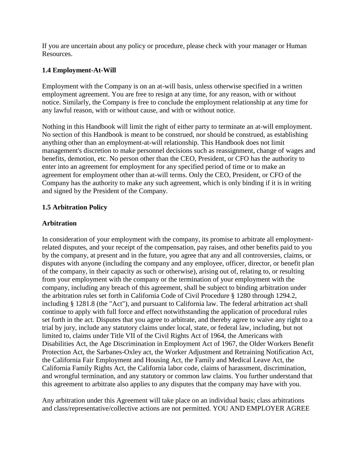If you are uncertain about any policy or procedure, please check with your manager or Human Resources.

#### **1.4 Employment-At-Will**

Employment with the Company is on an at-will basis, unless otherwise specified in a written employment agreement. You are free to resign at any time, for any reason, with or without notice. Similarly, the Company is free to conclude the employment relationship at any time for any lawful reason, with or without cause, and with or without notice.

Nothing in this Handbook will limit the right of either party to terminate an at-will employment. No section of this Handbook is meant to be construed, nor should be construed, as establishing anything other than an employment-at-will relationship. This Handbook does not limit management's discretion to make personnel decisions such as reassignment, change of wages and benefits, demotion, etc. No person other than the CEO, President, or CFO has the authority to enter into an agreement for employment for any specified period of time or to make an agreement for employment other than at-will terms. Only the CEO, President, or CFO of the Company has the authority to make any such agreement, which is only binding if it is in writing and signed by the President of the Company.

#### **1.5 Arbitration Policy**

#### **Arbitration**

In consideration of your employment with the company, its promise to arbitrate all employmentrelated disputes, and your receipt of the compensation, pay raises, and other benefits paid to you by the company, at present and in the future, you agree that any and all controversies, claims, or disputes with anyone (including the company and any employee, officer, director, or benefit plan of the company, in their capacity as such or otherwise), arising out of, relating to, or resulting from your employment with the company or the termination of your employment with the company, including any breach of this agreement, shall be subject to binding arbitration under the arbitration rules set forth in California Code of Civil Procedure § 1280 through 1294.2, including § 1281.8 (the "Act"), and pursuant to California law. The federal arbitration act shall continue to apply with full force and effect notwithstanding the application of procedural rules set forth in the act. Disputes that you agree to arbitrate, and thereby agree to waive any right to a trial by jury, include any statutory claims under local, state, or federal law, including, but not limited to, claims under Title VII of the Civil Rights Act of 1964, the Americans with Disabilities Act, the Age Discrimination in Employment Act of 1967, the Older Workers Benefit Protection Act, the Sarbanes-Oxley act, the Worker Adjustment and Retraining Notification Act, the California Fair Employment and Housing Act, the Family and Medical Leave Act, the California Family Rights Act, the California labor code, claims of harassment, discrimination, and wrongful termination, and any statutory or common law claims. You further understand that this agreement to arbitrate also applies to any disputes that the company may have with you.

Any arbitration under this Agreement will take place on an individual basis; class arbitrations and class/representative/collective actions are not permitted. YOU AND EMPLOYER AGREE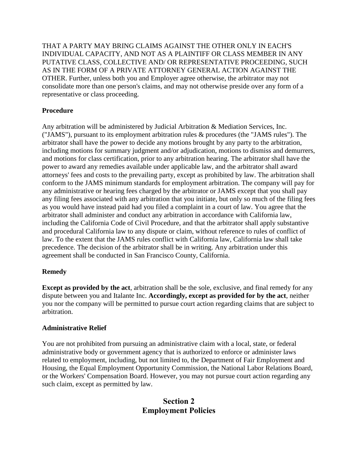THAT A PARTY MAY BRING CLAIMS AGAINST THE OTHER ONLY IN EACH'S INDIVIDUAL CAPACITY, AND NOT AS A PLAINTIFF OR CLASS MEMBER IN ANY PUTATIVE CLASS, COLLECTIVE AND/ OR REPRESENTATIVE PROCEEDING, SUCH AS IN THE FORM OF A PRIVATE ATTORNEY GENERAL ACTION AGAINST THE OTHER. Further, unless both you and Employer agree otherwise, the arbitrator may not consolidate more than one person's claims, and may not otherwise preside over any form of a representative or class proceeding.

# **Procedure**

Any arbitration will be administered by Judicial Arbitration & Mediation Services, Inc. ("JAMS"), pursuant to its employment arbitration rules & procedures (the "JAMS rules"). The arbitrator shall have the power to decide any motions brought by any party to the arbitration, including motions for summary judgment and/or adjudication, motions to dismiss and demurrers, and motions for class certification, prior to any arbitration hearing. The arbitrator shall have the power to award any remedies available under applicable law, and the arbitrator shall award attorneys' fees and costs to the prevailing party, except as prohibited by law. The arbitration shall conform to the JAMS minimum standards for employment arbitration. The company will pay for any administrative or hearing fees charged by the arbitrator or JAMS except that you shall pay any filing fees associated with any arbitration that you initiate, but only so much of the filing fees as you would have instead paid had you filed a complaint in a court of law. You agree that the arbitrator shall administer and conduct any arbitration in accordance with California law, including the California Code of Civil Procedure, and that the arbitrator shall apply substantive and procedural California law to any dispute or claim, without reference to rules of conflict of law. To the extent that the JAMS rules conflict with California law, California law shall take precedence. The decision of the arbitrator shall be in writing. Any arbitration under this agreement shall be conducted in San Francisco County, California.

#### **Remedy**

**Except as provided by the act**, arbitration shall be the sole, exclusive, and final remedy for any dispute between you and Italante Inc. **Accordingly, except as provided for by the act**, neither you nor the company will be permitted to pursue court action regarding claims that are subject to arbitration.

#### **Administrative Relief**

You are not prohibited from pursuing an administrative claim with a local, state, or federal administrative body or government agency that is authorized to enforce or administer laws related to employment, including, but not limited to, the Department of Fair Employment and Housing, the Equal Employment Opportunity Commission, the National Labor Relations Board, or the Workers' Compensation Board. However, you may not pursue court action regarding any such claim, except as permitted by law.

# **Section 2 Employment Policies**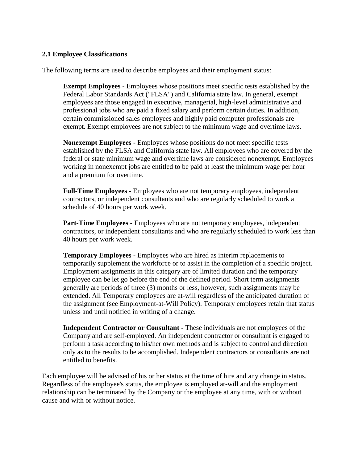#### **2.1 Employee Classifications**

The following terms are used to describe employees and their employment status:

**Exempt Employees -** Employees whose positions meet specific tests established by the Federal Labor Standards Act ("FLSA") and California state law. In general, exempt employees are those engaged in executive, managerial, high-level administrative and professional jobs who are paid a fixed salary and perform certain duties. In addition, certain commissioned sales employees and highly paid computer professionals are exempt. Exempt employees are not subject to the minimum wage and overtime laws.

**Nonexempt Employees -** Employees whose positions do not meet specific tests established by the FLSA and California state law. All employees who are covered by the federal or state minimum wage and overtime laws are considered nonexempt. Employees working in nonexempt jobs are entitled to be paid at least the minimum wage per hour and a premium for overtime.

**Full-Time Employees -** Employees who are not temporary employees, independent contractors, or independent consultants and who are regularly scheduled to work a schedule of 40 hours per work week.

**Part-Time Employees -** Employees who are not temporary employees, independent contractors, or independent consultants and who are regularly scheduled to work less than 40 hours per work week.

**Temporary Employees -** Employees who are hired as interim replacements to temporarily supplement the workforce or to assist in the completion of a specific project. Employment assignments in this category are of limited duration and the temporary employee can be let go before the end of the defined period. Short term assignments generally are periods of three (3) months or less, however, such assignments may be extended. All Temporary employees are at-will regardless of the anticipated duration of the assignment (see Employment-at-Will Policy). Temporary employees retain that status unless and until notified in writing of a change.

**Independent Contractor or Consultant -** These individuals are not employees of the Company and are self-employed. An independent contractor or consultant is engaged to perform a task according to his/her own methods and is subject to control and direction only as to the results to be accomplished. Independent contractors or consultants are not entitled to benefits.

Each employee will be advised of his or her status at the time of hire and any change in status. Regardless of the employee's status, the employee is employed at-will and the employment relationship can be terminated by the Company or the employee at any time, with or without cause and with or without notice.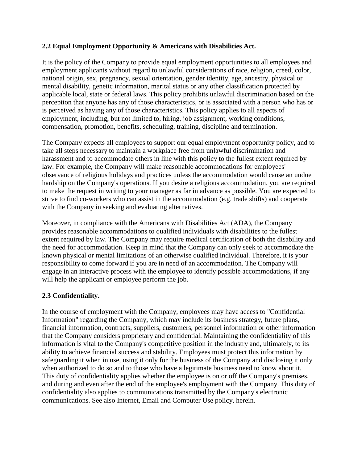#### **2.2 Equal Employment Opportunity & Americans with Disabilities Act.**

It is the policy of the Company to provide equal employment opportunities to all employees and employment applicants without regard to unlawful considerations of race, religion, creed, color, national origin, sex, pregnancy, sexual orientation, gender identity, age, ancestry, physical or mental disability, genetic information, marital status or any other classification protected by applicable local, state or federal laws. This policy prohibits unlawful discrimination based on the perception that anyone has any of those characteristics, or is associated with a person who has or is perceived as having any of those characteristics. This policy applies to all aspects of employment, including, but not limited to, hiring, job assignment, working conditions, compensation, promotion, benefits, scheduling, training, discipline and termination.

The Company expects all employees to support our equal employment opportunity policy, and to take all steps necessary to maintain a workplace free from unlawful discrimination and harassment and to accommodate others in line with this policy to the fullest extent required by law. For example, the Company will make reasonable accommodations for employees' observance of religious holidays and practices unless the accommodation would cause an undue hardship on the Company's operations. If you desire a religious accommodation, you are required to make the request in writing to your manager as far in advance as possible. You are expected to strive to find co-workers who can assist in the accommodation (e.g. trade shifts) and cooperate with the Company in seeking and evaluating alternatives.

Moreover, in compliance with the Americans with Disabilities Act (ADA), the Company provides reasonable accommodations to qualified individuals with disabilities to the fullest extent required by law. The Company may require medical certification of both the disability and the need for accommodation. Keep in mind that the Company can only seek to accommodate the known physical or mental limitations of an otherwise qualified individual. Therefore, it is your responsibility to come forward if you are in need of an accommodation. The Company will engage in an interactive process with the employee to identify possible accommodations, if any will help the applicant or employee perform the job.

#### **2.3 Confidentiality.**

In the course of employment with the Company, employees may have access to "Confidential Information" regarding the Company, which may include its business strategy, future plans, financial information, contracts, suppliers, customers, personnel information or other information that the Company considers proprietary and confidential. Maintaining the confidentiality of this information is vital to the Company's competitive position in the industry and, ultimately, to its ability to achieve financial success and stability. Employees must protect this information by safeguarding it when in use, using it only for the business of the Company and disclosing it only when authorized to do so and to those who have a legitimate business need to know about it. This duty of confidentiality applies whether the employee is on or off the Company's premises, and during and even after the end of the employee's employment with the Company. This duty of confidentiality also applies to communications transmitted by the Company's electronic communications. See also Internet, Email and Computer Use policy, herein.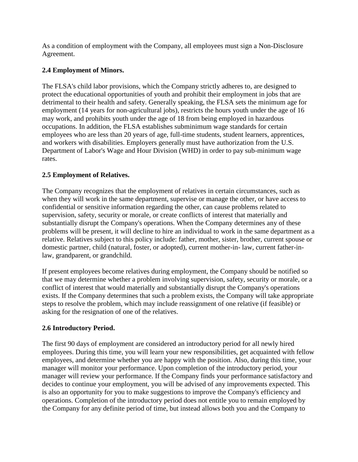As a condition of employment with the Company, all employees must sign a Non-Disclosure Agreement.

# **2.4 Employment of Minors.**

The FLSA's child labor provisions, which the Company strictly adheres to, are designed to protect the educational opportunities of youth and prohibit their employment in jobs that are detrimental to their health and safety. Generally speaking, the FLSA sets the minimum age for employment (14 years for non-agricultural jobs), restricts the hours youth under the age of 16 may work, and prohibits youth under the age of 18 from being employed in hazardous occupations. In addition, the FLSA establishes subminimum wage standards for certain employees who are less than 20 years of age, full-time students, student learners, apprentices, and workers with disabilities. Employers generally must have authorization from the U.S. Department of Labor's Wage and Hour Division (WHD) in order to pay sub-minimum wage rates.

# **2.5 Employment of Relatives.**

The Company recognizes that the employment of relatives in certain circumstances, such as when they will work in the same department, supervise or manage the other, or have access to confidential or sensitive information regarding the other, can cause problems related to supervision, safety, security or morale, or create conflicts of interest that materially and substantially disrupt the Company's operations. When the Company determines any of these problems will be present, it will decline to hire an individual to work in the same department as a relative. Relatives subject to this policy include: father, mother, sister, brother, current spouse or domestic partner, child (natural, foster, or adopted), current mother-in- law, current father-inlaw, grandparent, or grandchild.

If present employees become relatives during employment, the Company should be notified so that we may determine whether a problem involving supervision, safety, security or morale, or a conflict of interest that would materially and substantially disrupt the Company's operations exists. If the Company determines that such a problem exists, the Company will take appropriate steps to resolve the problem, which may include reassignment of one relative (if feasible) or asking for the resignation of one of the relatives.

#### **2.6 Introductory Period.**

The first 90 days of employment are considered an introductory period for all newly hired employees. During this time, you will learn your new responsibilities, get acquainted with fellow employees, and determine whether you are happy with the position. Also, during this time, your manager will monitor your performance. Upon completion of the introductory period, your manager will review your performance. If the Company finds your performance satisfactory and decides to continue your employment, you will be advised of any improvements expected. This is also an opportunity for you to make suggestions to improve the Company's efficiency and operations. Completion of the introductory period does not entitle you to remain employed by the Company for any definite period of time, but instead allows both you and the Company to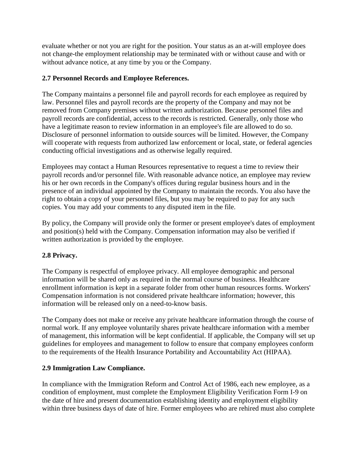evaluate whether or not you are right for the position. Your status as an at-will employee does not change-the employment relationship may be terminated with or without cause and with or without advance notice, at any time by you or the Company.

# **2.7 Personnel Records and Employee References.**

The Company maintains a personnel file and payroll records for each employee as required by law. Personnel files and payroll records are the property of the Company and may not be removed from Company premises without written authorization. Because personnel files and payroll records are confidential, access to the records is restricted. Generally, only those who have a legitimate reason to review information in an employee's file are allowed to do so. Disclosure of personnel information to outside sources will be limited. However, the Company will cooperate with requests from authorized law enforcement or local, state, or federal agencies conducting official investigations and as otherwise legally required.

Employees may contact a Human Resources representative to request a time to review their payroll records and/or personnel file. With reasonable advance notice, an employee may review his or her own records in the Company's offices during regular business hours and in the presence of an individual appointed by the Company to maintain the records. You also have the right to obtain a copy of your personnel files, but you may be required to pay for any such copies. You may add your comments to any disputed item in the file.

By policy, the Company will provide only the former or present employee's dates of employment and position(s) held with the Company. Compensation information may also be verified if written authorization is provided by the employee.

# **2.8 Privacy.**

The Company is respectful of employee privacy. All employee demographic and personal information will be shared only as required in the normal course of business. Healthcare enrollment information is kept in a separate folder from other human resources forms. Workers' Compensation information is not considered private healthcare information; however, this information will be released only on a need-to-know basis.

The Company does not make or receive any private healthcare information through the course of normal work. If any employee voluntarily shares private healthcare information with a member of management, this information will be kept confidential. If applicable, the Company will set up guidelines for employees and management to follow to ensure that company employees conform to the requirements of the Health Insurance Portability and Accountability Act (HIPAA).

# **2.9 Immigration Law Compliance.**

In compliance with the Immigration Reform and Control Act of 1986, each new employee, as a condition of employment, must complete the Employment Eligibility Verification Form I-9 on the date of hire and present documentation establishing identity and employment eligibility within three business days of date of hire. Former employees who are rehired must also complete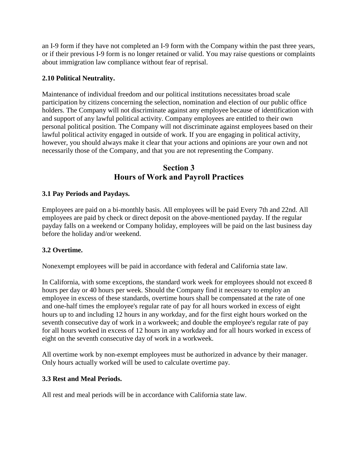an I-9 form if they have not completed an I-9 form with the Company within the past three years, or if their previous I-9 form is no longer retained or valid. You may raise questions or complaints about immigration law compliance without fear of reprisal.

# **2.10 Political Neutrality.**

Maintenance of individual freedom and our political institutions necessitates broad scale participation by citizens concerning the selection, nomination and election of our public office holders. The Company will not discriminate against any employee because of identification with and support of any lawful political activity. Company employees are entitled to their own personal political position. The Company will not discriminate against employees based on their lawful political activity engaged in outside of work. If you are engaging in political activity, however, you should always make it clear that your actions and opinions are your own and not necessarily those of the Company, and that you are not representing the Company.

# **Section 3 Hours of Work and Payroll Practices**

# **3.1 Pay Periods and Paydays.**

Employees are paid on a bi-monthly basis. All employees will be paid Every 7th and 22nd. All employees are paid by check or direct deposit on the above-mentioned payday. If the regular payday falls on a weekend or Company holiday, employees will be paid on the last business day before the holiday and/or weekend.

#### **3.2 Overtime.**

Nonexempt employees will be paid in accordance with federal and California state law.

In California, with some exceptions, the standard work week for employees should not exceed 8 hours per day or 40 hours per week. Should the Company find it necessary to employ an employee in excess of these standards, overtime hours shall be compensated at the rate of one and one-half times the employee's regular rate of pay for all hours worked in excess of eight hours up to and including 12 hours in any workday, and for the first eight hours worked on the seventh consecutive day of work in a workweek; and double the employee's regular rate of pay for all hours worked in excess of 12 hours in any workday and for all hours worked in excess of eight on the seventh consecutive day of work in a workweek.

All overtime work by non-exempt employees must be authorized in advance by their manager. Only hours actually worked will be used to calculate overtime pay.

#### **3.3 Rest and Meal Periods.**

All rest and meal periods will be in accordance with California state law.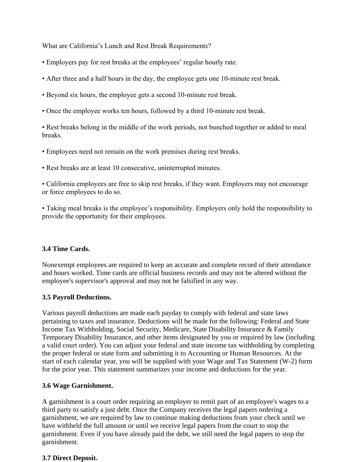What are California's Lunch and Rest Break Requirements?

- Employers pay for rest breaks at the employees' regular hourly rate.
- After three and a half hours in the day, the employee gets one 10-minute rest break.
- Beyond six hours, the employee gets a second 10-minute rest break.
- Once the employee works ten hours, followed by a third 10-minute rest break.

• Rest breaks belong in the middle of the work periods, not bunched together or added to meal breaks.

- Employees need not remain on the work premises during rest breaks.
- Rest breaks are at least 10 consecutive, uninterrupted minutes.

• California employees are free to skip rest breaks, if they want. Employers may not encourage or force employees to do so.

• Taking meal breaks is the employee's responsibility. Employers only hold the responsibility to provide the opportunity for their employees.

#### **3.4 Time Cards.**

Nonexempt employees are required to keep an accurate and complete record of their attendance and hours worked. Time cards are official business records and may not be altered without the employee's supervisor's approval and may not be falsified in any way.

#### **3.5 Payroll Deductions.**

Various payroll deductions are made each payday to comply with federal and state laws pertaining to taxes and insurance. Deductions will be made for the following: Federal and State Income Tax Withholding, Social Security, Medicare, State Disability Insurance & Family Temporary Disability Insurance, and other items designated by you or required by law (including a valid court order). You can adjust your federal and state income tax withholding by completing the proper federal or state form and submitting it to Accounting or Human Resources. At the start of each calendar year, you will be supplied with your Wage and Tax Statement (W-2) form for the prior year. This statement summarizes your income and deductions for the year.

#### **3.6 Wage Garnishment.**

A garnishment is a court order requiring an employer to remit part of an employee's wages to a third party to satisfy a just debt. Once the Company receives the legal papers ordering a garnishment, we are required by law to continue making deductions from your check until we have withheld the full amount or until we receive legal papers from the court to stop the garnishment. Even if you have already paid the debt, we still need the legal papers to stop the garnishment.

#### **3.7 Direct Deposit.**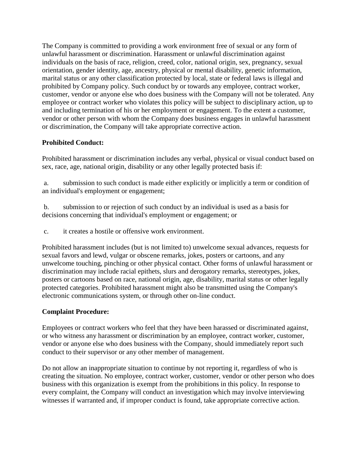The Company is committed to providing a work environment free of sexual or any form of unlawful harassment or discrimination. Harassment or unlawful discrimination against individuals on the basis of race, religion, creed, color, national origin, sex, pregnancy, sexual orientation, gender identity, age, ancestry, physical or mental disability, genetic information, marital status or any other classification protected by local, state or federal laws is illegal and prohibited by Company policy. Such conduct by or towards any employee, contract worker, customer, vendor or anyone else who does business with the Company will not be tolerated. Any employee or contract worker who violates this policy will be subject to disciplinary action, up to and including termination of his or her employment or engagement. To the extent a customer, vendor or other person with whom the Company does business engages in unlawful harassment or discrimination, the Company will take appropriate corrective action.

# **Prohibited Conduct:**

Prohibited harassment or discrimination includes any verbal, physical or visual conduct based on sex, race, age, national origin, disability or any other legally protected basis if:

a. submission to such conduct is made either explicitly or implicitly a term or condition of an individual's employment or engagement;

b. submission to or rejection of such conduct by an individual is used as a basis for decisions concerning that individual's employment or engagement; or

c. it creates a hostile or offensive work environment.

Prohibited harassment includes (but is not limited to) unwelcome sexual advances, requests for sexual favors and lewd, vulgar or obscene remarks, jokes, posters or cartoons, and any unwelcome touching, pinching or other physical contact. Other forms of unlawful harassment or discrimination may include racial epithets, slurs and derogatory remarks, stereotypes, jokes, posters or cartoons based on race, national origin, age, disability, marital status or other legally protected categories. Prohibited harassment might also be transmitted using the Company's electronic communications system, or through other on-line conduct.

# **Complaint Procedure:**

Employees or contract workers who feel that they have been harassed or discriminated against, or who witness any harassment or discrimination by an employee, contract worker, customer, vendor or anyone else who does business with the Company, should immediately report such conduct to their supervisor or any other member of management.

Do not allow an inappropriate situation to continue by not reporting it, regardless of who is creating the situation. No employee, contract worker, customer, vendor or other person who does business with this organization is exempt from the prohibitions in this policy. In response to every complaint, the Company will conduct an investigation which may involve interviewing witnesses if warranted and, if improper conduct is found, take appropriate corrective action.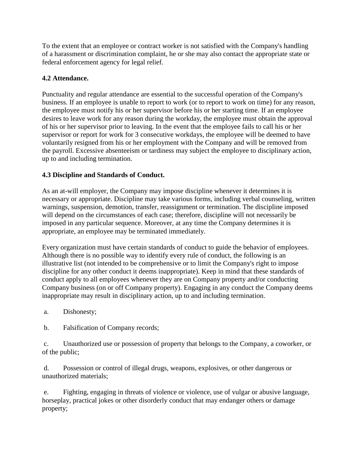To the extent that an employee or contract worker is not satisfied with the Company's handling of a harassment or discrimination complaint, he or she may also contact the appropriate state or federal enforcement agency for legal relief.

# **4.2 Attendance.**

Punctuality and regular attendance are essential to the successful operation of the Company's business. If an employee is unable to report to work (or to report to work on time) for any reason, the employee must notify his or her supervisor before his or her starting time. If an employee desires to leave work for any reason during the workday, the employee must obtain the approval of his or her supervisor prior to leaving. In the event that the employee fails to call his or her supervisor or report for work for 3 consecutive workdays, the employee will be deemed to have voluntarily resigned from his or her employment with the Company and will be removed from the payroll. Excessive absenteeism or tardiness may subject the employee to disciplinary action, up to and including termination.

# **4.3 Discipline and Standards of Conduct.**

As an at-will employer, the Company may impose discipline whenever it determines it is necessary or appropriate. Discipline may take various forms, including verbal counseling, written warnings, suspension, demotion, transfer, reassignment or termination. The discipline imposed will depend on the circumstances of each case; therefore, discipline will not necessarily be imposed in any particular sequence. Moreover, at any time the Company determines it is appropriate, an employee may be terminated immediately.

Every organization must have certain standards of conduct to guide the behavior of employees. Although there is no possible way to identify every rule of conduct, the following is an illustrative list (not intended to be comprehensive or to limit the Company's right to impose discipline for any other conduct it deems inappropriate). Keep in mind that these standards of conduct apply to all employees whenever they are on Company property and/or conducting Company business (on or off Company property). Engaging in any conduct the Company deems inappropriate may result in disciplinary action, up to and including termination.

a. Dishonesty;

b. Falsification of Company records;

c. Unauthorized use or possession of property that belongs to the Company, a coworker, or of the public;

d. Possession or control of illegal drugs, weapons, explosives, or other dangerous or unauthorized materials;

e. Fighting, engaging in threats of violence or violence, use of vulgar or abusive language, horseplay, practical jokes or other disorderly conduct that may endanger others or damage property;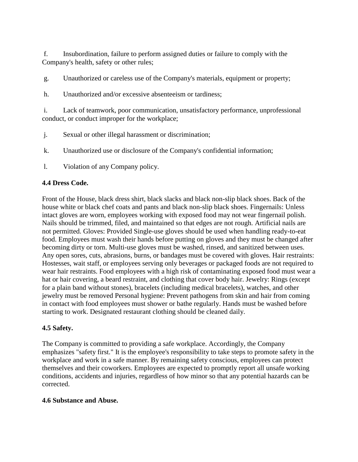f. Insubordination, failure to perform assigned duties or failure to comply with the Company's health, safety or other rules;

g. Unauthorized or careless use of the Company's materials, equipment or property;

h. Unauthorized and/or excessive absenteeism or tardiness;

i. Lack of teamwork, poor communication, unsatisfactory performance, unprofessional conduct, or conduct improper for the workplace;

- j. Sexual or other illegal harassment or discrimination;
- k. Unauthorized use or disclosure of the Company's confidential information;
- l. Violation of any Company policy.

#### **4.4 Dress Code.**

Front of the House, black dress shirt, black slacks and black non-slip black shoes. Back of the house white or black chef coats and pants and black non-slip black shoes. Fingernails: Unless intact gloves are worn, employees working with exposed food may not wear fingernail polish. Nails should be trimmed, filed, and maintained so that edges are not rough. Artificial nails are not permitted. Gloves: Provided Single-use gloves should be used when handling ready-to-eat food. Employees must wash their hands before putting on gloves and they must be changed after becoming dirty or torn. Multi-use gloves must be washed, rinsed, and sanitized between uses. Any open sores, cuts, abrasions, burns, or bandages must be covered with gloves. Hair restraints: Hostesses, wait staff, or employees serving only beverages or packaged foods are not required to wear hair restraints. Food employees with a high risk of contaminating exposed food must wear a hat or hair covering, a beard restraint, and clothing that cover body hair. Jewelry: Rings (except for a plain band without stones), bracelets (including medical bracelets), watches, and other jewelry must be removed Personal hygiene: Prevent pathogens from skin and hair from coming in contact with food employees must shower or bathe regularly. Hands must be washed before starting to work. Designated restaurant clothing should be cleaned daily.

#### **4.5 Safety.**

The Company is committed to providing a safe workplace. Accordingly, the Company emphasizes "safety first." It is the employee's responsibility to take steps to promote safety in the workplace and work in a safe manner. By remaining safety conscious, employees can protect themselves and their coworkers. Employees are expected to promptly report all unsafe working conditions, accidents and injuries, regardless of how minor so that any potential hazards can be corrected.

#### **4.6 Substance and Abuse.**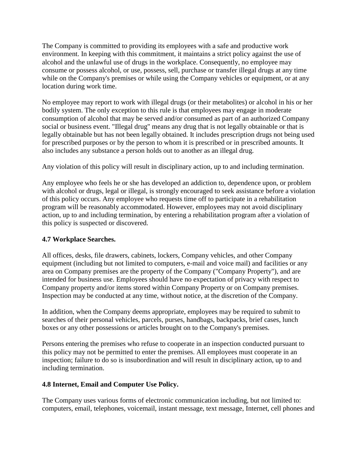The Company is committed to providing its employees with a safe and productive work environment. In keeping with this commitment, it maintains a strict policy against the use of alcohol and the unlawful use of drugs in the workplace. Consequently, no employee may consume or possess alcohol, or use, possess, sell, purchase or transfer illegal drugs at any time while on the Company's premises or while using the Company vehicles or equipment, or at any location during work time.

No employee may report to work with illegal drugs (or their metabolites) or alcohol in his or her bodily system. The only exception to this rule is that employees may engage in moderate consumption of alcohol that may be served and/or consumed as part of an authorized Company social or business event. "Illegal drug" means any drug that is not legally obtainable or that is legally obtainable but has not been legally obtained. It includes prescription drugs not being used for prescribed purposes or by the person to whom it is prescribed or in prescribed amounts. It also includes any substance a person holds out to another as an illegal drug.

Any violation of this policy will result in disciplinary action, up to and including termination.

Any employee who feels he or she has developed an addiction to, dependence upon, or problem with alcohol or drugs, legal or illegal, is strongly encouraged to seek assistance before a violation of this policy occurs. Any employee who requests time off to participate in a rehabilitation program will be reasonably accommodated. However, employees may not avoid disciplinary action, up to and including termination, by entering a rehabilitation program after a violation of this policy is suspected or discovered.

# **4.7 Workplace Searches.**

All offices, desks, file drawers, cabinets, lockers, Company vehicles, and other Company equipment (including but not limited to computers, e-mail and voice mail) and facilities or any area on Company premises are the property of the Company ("Company Property"), and are intended for business use. Employees should have no expectation of privacy with respect to Company property and/or items stored within Company Property or on Company premises. Inspection may be conducted at any time, without notice, at the discretion of the Company.

In addition, when the Company deems appropriate, employees may be required to submit to searches of their personal vehicles, parcels, purses, handbags, backpacks, brief cases, lunch boxes or any other possessions or articles brought on to the Company's premises.

Persons entering the premises who refuse to cooperate in an inspection conducted pursuant to this policy may not be permitted to enter the premises. All employees must cooperate in an inspection; failure to do so is insubordination and will result in disciplinary action, up to and including termination.

#### **4.8 Internet, Email and Computer Use Policy.**

The Company uses various forms of electronic communication including, but not limited to: computers, email, telephones, voicemail, instant message, text message, Internet, cell phones and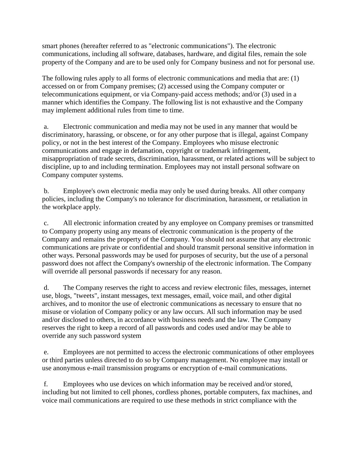smart phones (hereafter referred to as "electronic communications"). The electronic communications, including all software, databases, hardware, and digital files, remain the sole property of the Company and are to be used only for Company business and not for personal use.

The following rules apply to all forms of electronic communications and media that are: (1) accessed on or from Company premises; (2) accessed using the Company computer or telecommunications equipment, or via Company-paid access methods; and/or (3) used in a manner which identifies the Company. The following list is not exhaustive and the Company may implement additional rules from time to time.

a. Electronic communication and media may not be used in any manner that would be discriminatory, harassing, or obscene, or for any other purpose that is illegal, against Company policy, or not in the best interest of the Company. Employees who misuse electronic communications and engage in defamation, copyright or trademark infringement, misappropriation of trade secrets, discrimination, harassment, or related actions will be subject to discipline, up to and including termination. Employees may not install personal software on Company computer systems.

b. Employee's own electronic media may only be used during breaks. All other company policies, including the Company's no tolerance for discrimination, harassment, or retaliation in the workplace apply.

c. All electronic information created by any employee on Company premises or transmitted to Company property using any means of electronic communication is the property of the Company and remains the property of the Company. You should not assume that any electronic communications are private or confidential and should transmit personal sensitive information in other ways. Personal passwords may be used for purposes of security, but the use of a personal password does not affect the Company's ownership of the electronic information. The Company will override all personal passwords if necessary for any reason.

d. The Company reserves the right to access and review electronic files, messages, internet use, blogs, "tweets", instant messages, text messages, email, voice mail, and other digital archives, and to monitor the use of electronic communications as necessary to ensure that no misuse or violation of Company policy or any law occurs. All such information may be used and/or disclosed to others, in accordance with business needs and the law. The Company reserves the right to keep a record of all passwords and codes used and/or may be able to override any such password system

e. Employees are not permitted to access the electronic communications of other employees or third parties unless directed to do so by Company management. No employee may install or use anonymous e-mail transmission programs or encryption of e-mail communications.

f. Employees who use devices on which information may be received and/or stored, including but not limited to cell phones, cordless phones, portable computers, fax machines, and voice mail communications are required to use these methods in strict compliance with the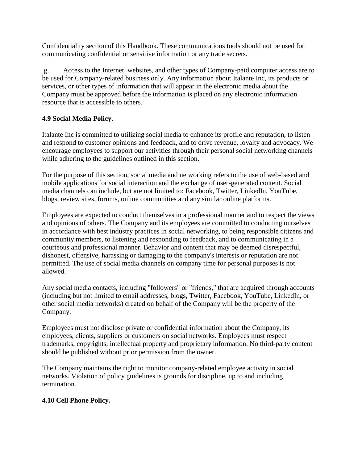Confidentiality section of this Handbook. These communications tools should not be used for communicating confidential or sensitive information or any trade secrets.

g. Access to the Internet, websites, and other types of Company-paid computer access are to be used for Company-related business only. Any information about Italante Inc, its products or services, or other types of information that will appear in the electronic media about the Company must be approved before the information is placed on any electronic information resource that is accessible to others.

# **4.9 Social Media Policy.**

Italante Inc is committed to utilizing social media to enhance its profile and reputation, to listen and respond to customer opinions and feedback, and to drive revenue, loyalty and advocacy. We encourage employees to support our activities through their personal social networking channels while adhering to the guidelines outlined in this section.

For the purpose of this section, social media and networking refers to the use of web-based and mobile applications for social interaction and the exchange of user-generated content. Social media channels can include, but are not limited to: Facebook, Twitter, LinkedIn, YouTube, blogs, review sites, forums, online communities and any similar online platforms.

Employees are expected to conduct themselves in a professional manner and to respect the views and opinions of others. The Company and its employees are committed to conducting ourselves in accordance with best industry practices in social networking, to being responsible citizens and community members, to listening and responding to feedback, and to communicating in a courteous and professional manner. Behavior and content that may be deemed disrespectful, dishonest, offensive, harassing or damaging to the company's interests or reputation are not permitted. The use of social media channels on company time for personal purposes is not allowed.

Any social media contacts, including "followers" or "friends," that are acquired through accounts (including but not limited to email addresses, blogs, Twitter, Facebook, YouTube, LinkedIn, or other social media networks) created on behalf of the Company will be the property of the Company.

Employees must not disclose private or confidential information about the Company, its employees, clients, suppliers or customers on social networks. Employees must respect trademarks, copyrights, intellectual property and proprietary information. No third-party content should be published without prior permission from the owner.

The Company maintains the right to monitor company-related employee activity in social networks. Violation of policy guidelines is grounds for discipline, up to and including termination.

# **4.10 Cell Phone Policy.**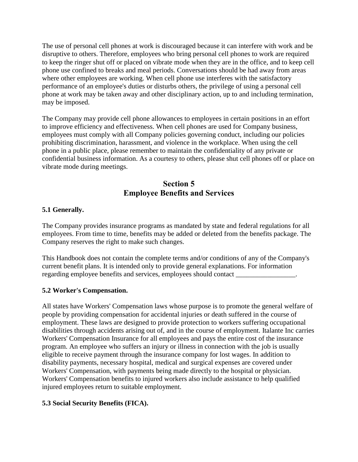The use of personal cell phones at work is discouraged because it can interfere with work and be disruptive to others. Therefore, employees who bring personal cell phones to work are required to keep the ringer shut off or placed on vibrate mode when they are in the office, and to keep cell phone use confined to breaks and meal periods. Conversations should be had away from areas where other employees are working. When cell phone use interferes with the satisfactory performance of an employee's duties or disturbs others, the privilege of using a personal cell phone at work may be taken away and other disciplinary action, up to and including termination, may be imposed.

The Company may provide cell phone allowances to employees in certain positions in an effort to improve efficiency and effectiveness. When cell phones are used for Company business, employees must comply with all Company policies governing conduct, including our policies prohibiting discrimination, harassment, and violence in the workplace. When using the cell phone in a public place, please remember to maintain the confidentiality of any private or confidential business information. As a courtesy to others, please shut cell phones off or place on vibrate mode during meetings.

# **Section 5 Employee Benefits and Services**

#### **5.1 Generally.**

The Company provides insurance programs as mandated by state and federal regulations for all employees. From time to time, benefits may be added or deleted from the benefits package. The Company reserves the right to make such changes.

This Handbook does not contain the complete terms and/or conditions of any of the Company's current benefit plans. It is intended only to provide general explanations. For information regarding employee benefits and services, employees should contact

#### **5.2 Worker's Compensation.**

All states have Workers' Compensation laws whose purpose is to promote the general welfare of people by providing compensation for accidental injuries or death suffered in the course of employment. These laws are designed to provide protection to workers suffering occupational disabilities through accidents arising out of, and in the course of employment. Italante Inc carries Workers' Compensation Insurance for all employees and pays the entire cost of the insurance program. An employee who suffers an injury or illness in connection with the job is usually eligible to receive payment through the insurance company for lost wages. In addition to disability payments, necessary hospital, medical and surgical expenses are covered under Workers' Compensation, with payments being made directly to the hospital or physician. Workers' Compensation benefits to injured workers also include assistance to help qualified injured employees return to suitable employment.

# **5.3 Social Security Benefits (FICA).**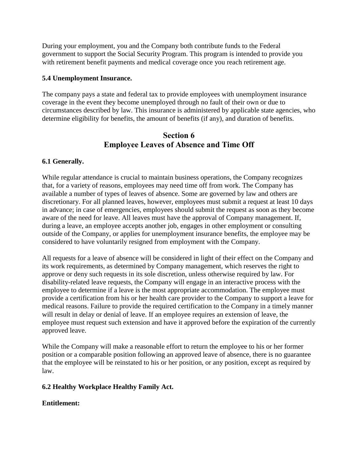During your employment, you and the Company both contribute funds to the Federal government to support the Social Security Program. This program is intended to provide you with retirement benefit payments and medical coverage once you reach retirement age.

#### **5.4 Unemployment Insurance.**

The company pays a state and federal tax to provide employees with unemployment insurance coverage in the event they become unemployed through no fault of their own or due to circumstances described by law. This insurance is administered by applicable state agencies, who determine eligibility for benefits, the amount of benefits (if any), and duration of benefits.

# **Section 6 Employee Leaves of Absence and Time Off**

#### **6.1 Generally.**

While regular attendance is crucial to maintain business operations, the Company recognizes that, for a variety of reasons, employees may need time off from work. The Company has available a number of types of leaves of absence. Some are governed by law and others are discretionary. For all planned leaves, however, employees must submit a request at least 10 days in advance; in case of emergencies, employees should submit the request as soon as they become aware of the need for leave. All leaves must have the approval of Company management. If, during a leave, an employee accepts another job, engages in other employment or consulting outside of the Company, or applies for unemployment insurance benefits, the employee may be considered to have voluntarily resigned from employment with the Company.

All requests for a leave of absence will be considered in light of their effect on the Company and its work requirements, as determined by Company management, which reserves the right to approve or deny such requests in its sole discretion, unless otherwise required by law. For disability-related leave requests, the Company will engage in an interactive process with the employee to determine if a leave is the most appropriate accommodation. The employee must provide a certification from his or her health care provider to the Company to support a leave for medical reasons. Failure to provide the required certification to the Company in a timely manner will result in delay or denial of leave. If an employee requires an extension of leave, the employee must request such extension and have it approved before the expiration of the currently approved leave.

While the Company will make a reasonable effort to return the employee to his or her former position or a comparable position following an approved leave of absence, there is no guarantee that the employee will be reinstated to his or her position, or any position, except as required by law.

#### **6.2 Healthy Workplace Healthy Family Act.**

#### **Entitlement:**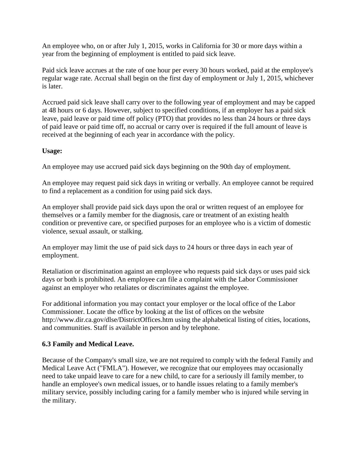An employee who, on or after July 1, 2015, works in California for 30 or more days within a year from the beginning of employment is entitled to paid sick leave.

Paid sick leave accrues at the rate of one hour per every 30 hours worked, paid at the employee's regular wage rate. Accrual shall begin on the first day of employment or July 1, 2015, whichever is later.

Accrued paid sick leave shall carry over to the following year of employment and may be capped at 48 hours or 6 days. However, subject to specified conditions, if an employer has a paid sick leave, paid leave or paid time off policy (PTO) that provides no less than 24 hours or three days of paid leave or paid time off, no accrual or carry over is required if the full amount of leave is received at the beginning of each year in accordance with the policy.

# **Usage:**

An employee may use accrued paid sick days beginning on the 90th day of employment.

An employee may request paid sick days in writing or verbally. An employee cannot be required to find a replacement as a condition for using paid sick days.

An employer shall provide paid sick days upon the oral or written request of an employee for themselves or a family member for the diagnosis, care or treatment of an existing health condition or preventive care, or specified purposes for an employee who is a victim of domestic violence, sexual assault, or stalking.

An employer may limit the use of paid sick days to 24 hours or three days in each year of employment.

Retaliation or discrimination against an employee who requests paid sick days or uses paid sick days or both is prohibited. An employee can file a complaint with the Labor Commissioner against an employer who retaliates or discriminates against the employee.

For additional information you may contact your employer or the local office of the Labor Commissioner. Locate the office by looking at the list of offices on the website http://www.dir.ca.gov/dlse/DistrictOffices.htm using the alphabetical listing of cities, locations, and communities. Staff is available in person and by telephone.

# **6.3 Family and Medical Leave.**

Because of the Company's small size, we are not required to comply with the federal Family and Medical Leave Act ("FMLA"). However, we recognize that our employees may occasionally need to take unpaid leave to care for a new child, to care for a seriously ill family member, to handle an employee's own medical issues, or to handle issues relating to a family member's military service, possibly including caring for a family member who is injured while serving in the military.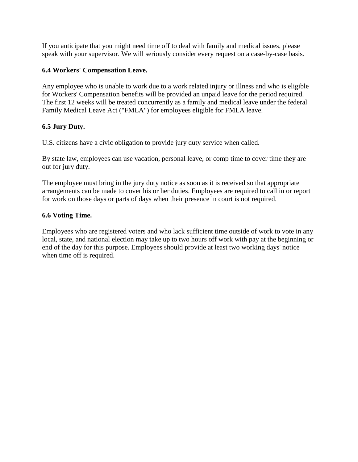If you anticipate that you might need time off to deal with family and medical issues, please speak with your supervisor. We will seriously consider every request on a case-by-case basis.

# **6.4 Workers' Compensation Leave.**

Any employee who is unable to work due to a work related injury or illness and who is eligible for Workers' Compensation benefits will be provided an unpaid leave for the period required. The first 12 weeks will be treated concurrently as a family and medical leave under the federal Family Medical Leave Act ("FMLA") for employees eligible for FMLA leave.

# **6.5 Jury Duty.**

U.S. citizens have a civic obligation to provide jury duty service when called.

By state law, employees can use vacation, personal leave, or comp time to cover time they are out for jury duty.

The employee must bring in the jury duty notice as soon as it is received so that appropriate arrangements can be made to cover his or her duties. Employees are required to call in or report for work on those days or parts of days when their presence in court is not required.

# **6.6 Voting Time.**

Employees who are registered voters and who lack sufficient time outside of work to vote in any local, state, and national election may take up to two hours off work with pay at the beginning or end of the day for this purpose. Employees should provide at least two working days' notice when time off is required.